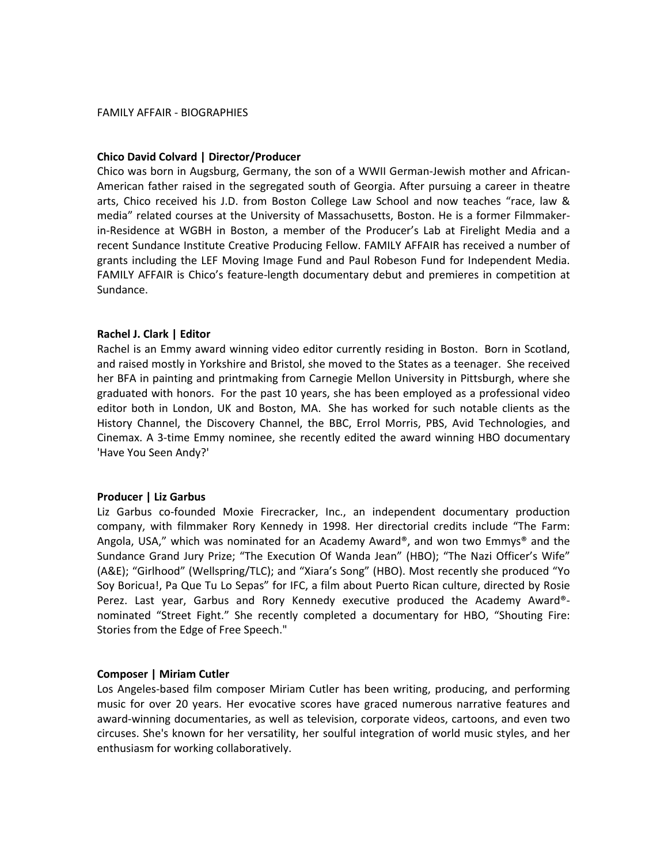## **Chico
David
Colvard
|
Director/Producer**

Chico was born in Augsburg, Germany, the son of a WWII German-Jewish mother and African-American father raised in the segregated south of Georgia. After pursuing a career in theatre arts, Chico received his J.D. from Boston College Law School and now teaches "race, law & media" related courses at the University of Massachusetts, Boston. He is a former Filmmakerin-Residence at WGBH in Boston, a member of the Producer's Lab at Firelight Media and a recent Sundance Institute Creative Producing Fellow. FAMILY AFFAIR has received a number of grants
including
 the
 LEF
Moving
Image
Fund
and
 Paul
Robeson
Fund
 for
Independent
Media. FAMILY AFFAIR is Chico's feature-length documentary debut and premieres in competition at Sundance.

### **Rachel
J.
Clark
|
Editor**

Rachel is an Emmy award winning video editor currently residing in Boston. Born in Scotland, and
raised
mostly
in
Yorkshire
and
Bristol,
she
moved
to
the
States
as
a
teenager. She
received her BFA in painting and printmaking from Carnegie Mellon University in Pittsburgh, where she graduated
with
honors. For
the
past
10
years,
she
has
been
employed
as
a
professional
video editor both in London, UK and Boston, MA. She has worked for such notable clients as the History Channel, the Discovery Channel, the BBC, Errol Morris, PBS, Avid Technologies, and Cinemax. A 3-time Emmy nominee, she recently edited the award winning HBO documentary 'Have
You
Seen
Andy?'

## **Producer
|
Liz
Garbus**

Liz Garbus co-founded Moxie Firecracker, Inc., an independent documentary production company, with filmmaker Rory Kennedy in 1998. Her directorial credits include "The Farm: Angola, USA," which was nominated for an Academy Award®, and won two Emmys® and the Sundance Grand Jury Prize; "The Execution Of Wanda Jean" (HBO); "The Nazi Officer's Wife" (A&E); "Girlhood" (Wellspring/TLC); and "Xiara's Song" (HBO). Most recently she produced "Yo Soy Boricua!, Pa Que Tu Lo Sepas" for IFC, a film about Puerto Rican culture, directed by Rosie Perez. Last year, Garbus and Rory Kennedy executive produced the Academy Award®nominated "Street Fight." She recently completed a documentary for HBO, "Shouting Fire: Stories
from
the
Edge
of
Free
Speech."

## **Composer
|
Miriam
Cutler**

Los Angeles-based film composer Miriam Cutler has been writing, producing, and performing music for over 20 years. Her evocative scores have graced numerous narrative features and award-winning documentaries, as well as television, corporate videos, cartoons, and even two circuses.
She's
known
 for
her
versatility,
her
soulful
integration
of
world
music
styles,
and
her enthusiasm
for
working
collaboratively.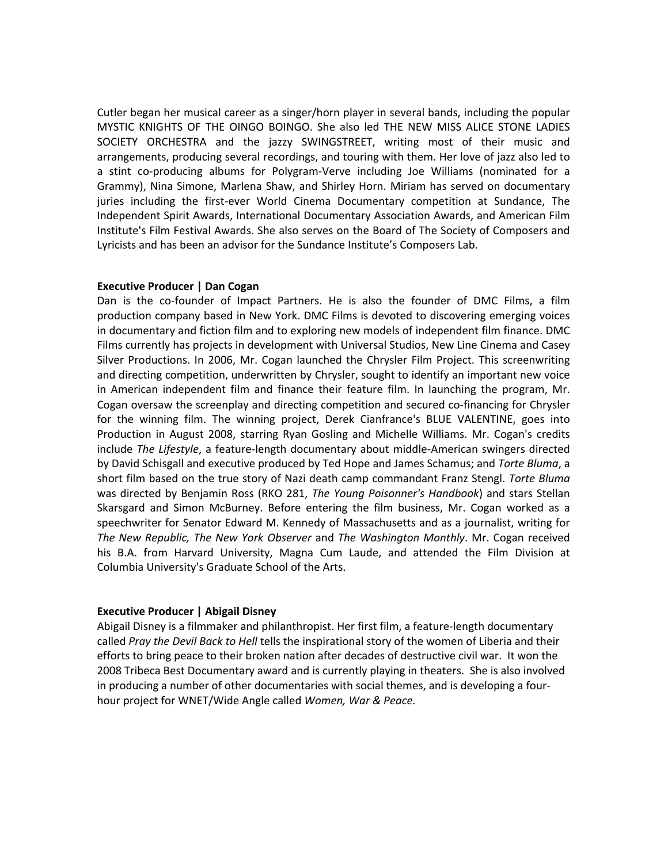Cutler began her musical career as a singer/horn player in several bands, including the popular MYSTIC KNIGHTS OF THE OINGO BOINGO. She also led THE NEW MISS ALICE STONE LADIES SOCIETY ORCHESTRA and the jazzy SWINGSTREET, writing most of their music and arrangements,
producing
several
recordings,
and
touring
with
them.
Her
love
of
jazz
also
led
to a stint co-producing albums for Polygram-Verve including Joe Williams (nominated for a Grammy), Nina Simone, Marlena Shaw, and Shirley Horn. Miriam has served on documentary juries including the first-ever World Cinema Documentary competition at Sundance, The Independent Spirit Awards, International Documentary Association Awards, and American Film Institute's
Film
Festival
Awards.
She
also
serves
on
the
Board
of
The
Society
of
Composers
and Lyricists
and
has
been
an
advisor
for
the
Sundance
Institute's
Composers
Lab.

## **Executive
Producer
|
Dan
Cogan**

Dan is the co-founder of Impact Partners. He is also the founder of DMC Films, a film production
company
based
in
New
York.
DMC
Films
is
devoted
to
discovering
emerging
voices in
documentary
and
fiction
film
and
to
exploring
new
models
of
independent
film
finance.
DMC Films
currently
has
projects
in
development
with
Universal
Studios,
New
Line
Cinema
and
Casey Silver Productions. In 2006, Mr. Cogan launched the Chrysler Film Project. This screenwriting and
directing
competition,
underwritten
by
Chrysler,
sought
to
identify
an
important
new
voice in American independent film and finance their feature film. In launching the program, Mr. Cogan oversaw the screenplay and directing competition and secured co-financing for Chrysler for the winning film. The winning project, Derek Cianfrance's BLUE VALENTINE, goes into Production in August 2008, starring Ryan Gosling and Michelle Williams. Mr. Cogan's credits include The Lifestyle, a feature-length documentary about middle-American swingers directed by David Schisgall and executive produced by Ted Hope and James Schamus; and Torte Bluma, a short film based on the true story of Nazi death camp commandant Franz Stengl. Torte Bluma was directed by Benjamin Ross (RKO 281, The Young Poisonner's Handbook) and stars Stellan Skarsgard and Simon McBurney. Before entering the film business, Mr. Cogan worked as a speechwriter for Senator Edward M. Kennedy of Massachusetts and as a journalist, writing for *The
New
Republic,
The
New
York
Observer*and *The
Washington
Monthly*.
Mr.
Cogan
 received his B.A. from Harvard University, Magna Cum Laude, and attended the Film Division at Columbia
University's
Graduate
School
of
the
Arts.

## **Executive
Producer
|
Abigail
Disney**

Abigail Disney is a filmmaker and philanthropist. Her first film, a feature-length documentary called Pray the Devil Back to Hell tells the inspirational story of the women of Liberia and their efforts
to
bring
peace
to
their
broken
nation
after
decades
of
destructive
civil
war. It
won
the 2008 Tribeca Best Documentary award and is currently playing in theaters. She is also involved in producing a number of other documentaries with social themes, and is developing a fourhour
project
for
WNET/Wide
Angle
called *Women,
War
&
Peace.*